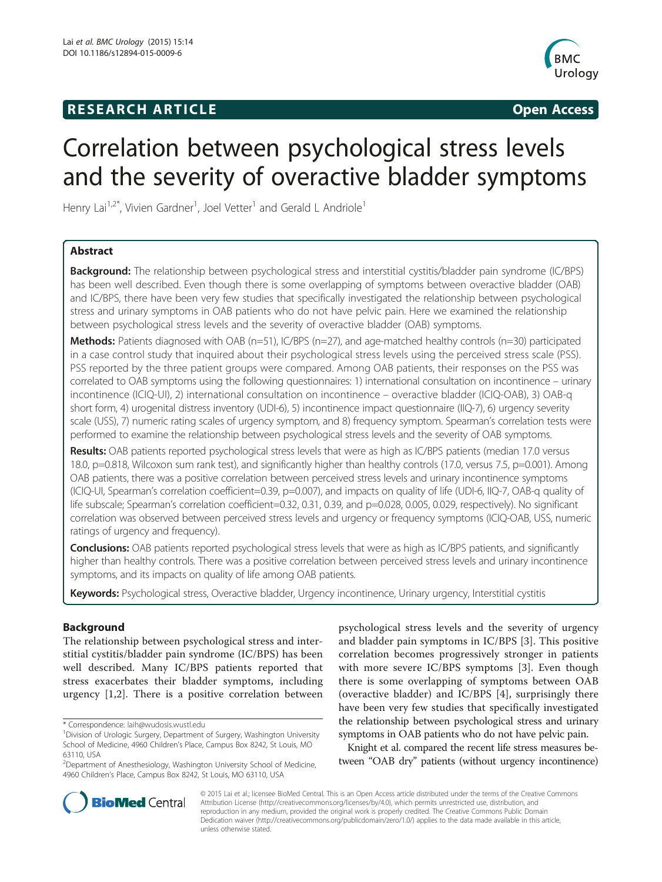# **RESEARCH ARTICLE Example 2014 CONSIDERING CONSIDERING CONSIDERING CONSIDERING CONSIDERING CONSIDERING CONSIDERING CONSIDERING CONSIDERING CONSIDERING CONSIDERING CONSIDERING CONSIDERING CONSIDERING CONSIDERING CONSIDE**



# Correlation between psychological stress levels and the severity of overactive bladder symptoms

Henry Lai<sup>1,2\*</sup>, Vivien Gardner<sup>1</sup>, Joel Vetter<sup>1</sup> and Gerald L Andriole<sup>1</sup>

# Abstract

Background: The relationship between psychological stress and interstitial cystitis/bladder pain syndrome (IC/BPS) has been well described. Even though there is some overlapping of symptoms between overactive bladder (OAB) and IC/BPS, there have been very few studies that specifically investigated the relationship between psychological stress and urinary symptoms in OAB patients who do not have pelvic pain. Here we examined the relationship between psychological stress levels and the severity of overactive bladder (OAB) symptoms.

Methods: Patients diagnosed with OAB (n=51), IC/BPS (n=27), and age-matched healthy controls (n=30) participated in a case control study that inquired about their psychological stress levels using the perceived stress scale (PSS). PSS reported by the three patient groups were compared. Among OAB patients, their responses on the PSS was correlated to OAB symptoms using the following questionnaires: 1) international consultation on incontinence – urinary incontinence (ICIQ-UI), 2) international consultation on incontinence – overactive bladder (ICIQ-OAB), 3) OAB-q short form, 4) urogenital distress inventory (UDI-6), 5) incontinence impact questionnaire (IIQ-7), 6) urgency severity scale (USS), 7) numeric rating scales of urgency symptom, and 8) frequency symptom. Spearman's correlation tests were performed to examine the relationship between psychological stress levels and the severity of OAB symptoms.

Results: OAB patients reported psychological stress levels that were as high as IC/BPS patients (median 17.0 versus 18.0, p=0.818, Wilcoxon sum rank test), and significantly higher than healthy controls (17.0, versus 7.5, p=0.001). Among OAB patients, there was a positive correlation between perceived stress levels and urinary incontinence symptoms (ICIQ-UI, Spearman's correlation coefficient=0.39, p=0.007), and impacts on quality of life (UDI-6, IIQ-7, OAB-q quality of life subscale; Spearman's correlation coefficient=0.32, 0.31, 0.39, and p=0.028, 0.005, 0.029, respectively). No significant correlation was observed between perceived stress levels and urgency or frequency symptoms (ICIQ-OAB, USS, numeric ratings of urgency and frequency).

Conclusions: OAB patients reported psychological stress levels that were as high as IC/BPS patients, and significantly higher than healthy controls. There was a positive correlation between perceived stress levels and urinary incontinence symptoms, and its impacts on quality of life among OAB patients.

Keywords: Psychological stress, Overactive bladder, Urgency incontinence, Urinary urgency, Interstitial cystitis

# Background

The relationship between psychological stress and interstitial cystitis/bladder pain syndrome (IC/BPS) has been well described. Many IC/BPS patients reported that stress exacerbates their bladder symptoms, including urgency [[1,2\]](#page-5-0). There is a positive correlation between

psychological stress levels and the severity of urgency and bladder pain symptoms in IC/BPS [[3\]](#page-5-0). This positive correlation becomes progressively stronger in patients with more severe IC/BPS symptoms [[3\]](#page-5-0). Even though there is some overlapping of symptoms between OAB (overactive bladder) and IC/BPS [[4\]](#page-5-0), surprisingly there have been very few studies that specifically investigated the relationship between psychological stress and urinary symptoms in OAB patients who do not have pelvic pain.

Knight et al. compared the recent life stress measures between "OAB dry" patients (without urgency incontinence)



© 2015 Lai et al.; licensee BioMed Central. This is an Open Access article distributed under the terms of the Creative Commons Attribution License (<http://creativecommons.org/licenses/by/4.0>), which permits unrestricted use, distribution, and reproduction in any medium, provided the original work is properly credited. The Creative Commons Public Domain Dedication waiver [\(http://creativecommons.org/publicdomain/zero/1.0/](http://creativecommons.org/publicdomain/zero/1.0/)) applies to the data made available in this article, unless otherwise stated.

<sup>\*</sup> Correspondence: [laih@wudosis.wustl.edu](mailto:laih@wudosis.wustl.edu) <sup>1</sup>

<sup>&</sup>lt;sup>1</sup> Division of Urologic Surgery, Department of Surgery, Washington University School of Medicine, 4960 Children's Place, Campus Box 8242, St Louis, MO 63110, USA

<sup>&</sup>lt;sup>2</sup>Department of Anesthesiology, Washington University School of Medicine, 4960 Children's Place, Campus Box 8242, St Louis, MO 63110, USA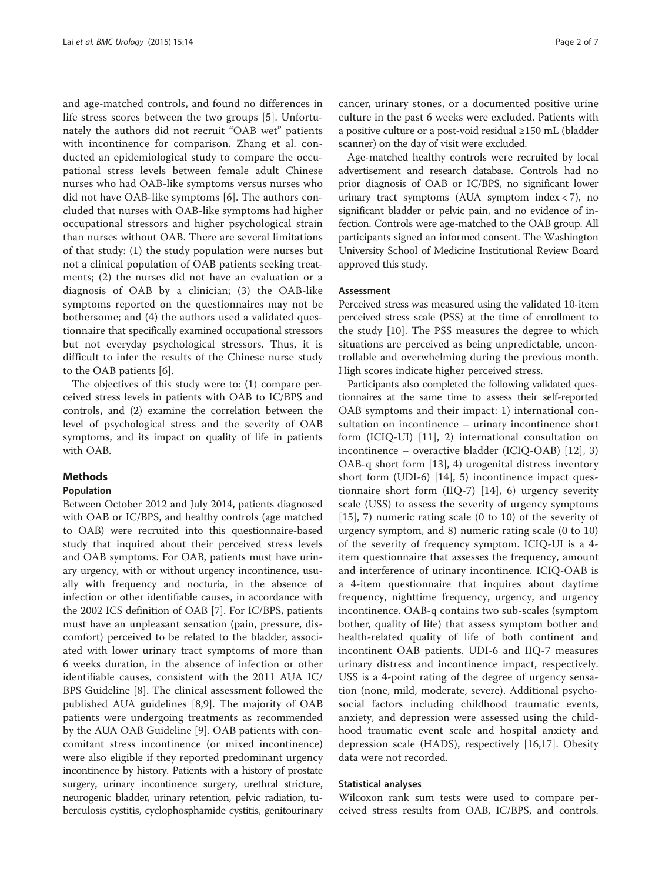and age-matched controls, and found no differences in life stress scores between the two groups [[5](#page-5-0)]. Unfortunately the authors did not recruit "OAB wet" patients with incontinence for comparison. Zhang et al. conducted an epidemiological study to compare the occupational stress levels between female adult Chinese nurses who had OAB-like symptoms versus nurses who did not have OAB-like symptoms [[6\]](#page-5-0). The authors concluded that nurses with OAB-like symptoms had higher occupational stressors and higher psychological strain than nurses without OAB. There are several limitations of that study: (1) the study population were nurses but not a clinical population of OAB patients seeking treatments; (2) the nurses did not have an evaluation or a diagnosis of OAB by a clinician; (3) the OAB-like symptoms reported on the questionnaires may not be bothersome; and (4) the authors used a validated questionnaire that specifically examined occupational stressors but not everyday psychological stressors. Thus, it is difficult to infer the results of the Chinese nurse study to the OAB patients [[6\]](#page-5-0).

The objectives of this study were to: (1) compare perceived stress levels in patients with OAB to IC/BPS and controls, and (2) examine the correlation between the level of psychological stress and the severity of OAB symptoms, and its impact on quality of life in patients with OAB.

#### Methods

#### Population

Between October 2012 and July 2014, patients diagnosed with OAB or IC/BPS, and healthy controls (age matched to OAB) were recruited into this questionnaire-based study that inquired about their perceived stress levels and OAB symptoms. For OAB, patients must have urinary urgency, with or without urgency incontinence, usually with frequency and nocturia, in the absence of infection or other identifiable causes, in accordance with the 2002 ICS definition of OAB [\[7\]](#page-5-0). For IC/BPS, patients must have an unpleasant sensation (pain, pressure, discomfort) perceived to be related to the bladder, associated with lower urinary tract symptoms of more than 6 weeks duration, in the absence of infection or other identifiable causes, consistent with the 2011 AUA IC/ BPS Guideline [\[8](#page-5-0)]. The clinical assessment followed the published AUA guidelines [[8,9\]](#page-5-0). The majority of OAB patients were undergoing treatments as recommended by the AUA OAB Guideline [\[9](#page-5-0)]. OAB patients with concomitant stress incontinence (or mixed incontinence) were also eligible if they reported predominant urgency incontinence by history. Patients with a history of prostate surgery, urinary incontinence surgery, urethral stricture, neurogenic bladder, urinary retention, pelvic radiation, tuberculosis cystitis, cyclophosphamide cystitis, genitourinary

cancer, urinary stones, or a documented positive urine culture in the past 6 weeks were excluded. Patients with a positive culture or a post-void residual ≥150 mL (bladder scanner) on the day of visit were excluded.

Age-matched healthy controls were recruited by local advertisement and research database. Controls had no prior diagnosis of OAB or IC/BPS, no significant lower urinary tract symptoms (AUA symptom index  $<$  7), no significant bladder or pelvic pain, and no evidence of infection. Controls were age-matched to the OAB group. All participants signed an informed consent. The Washington University School of Medicine Institutional Review Board approved this study.

#### Assessment

Perceived stress was measured using the validated 10-item perceived stress scale (PSS) at the time of enrollment to the study [\[10](#page-5-0)]. The PSS measures the degree to which situations are perceived as being unpredictable, uncontrollable and overwhelming during the previous month. High scores indicate higher perceived stress.

Participants also completed the following validated questionnaires at the same time to assess their self-reported OAB symptoms and their impact: 1) international consultation on incontinence – urinary incontinence short form (ICIQ-UI) [[11\]](#page-5-0), 2) international consultation on incontinence – overactive bladder (ICIQ-OAB) [\[12](#page-5-0)], 3) OAB-q short form [[13](#page-5-0)], 4) urogenital distress inventory short form (UDI-6) [\[14](#page-5-0)], 5) incontinence impact questionnaire short form (IIQ-7) [[14](#page-5-0)], 6) urgency severity scale (USS) to assess the severity of urgency symptoms [[15](#page-6-0)], 7) numeric rating scale (0 to 10) of the severity of urgency symptom, and 8) numeric rating scale (0 to 10) of the severity of frequency symptom. ICIQ-UI is a 4 item questionnaire that assesses the frequency, amount and interference of urinary incontinence. ICIQ-OAB is a 4-item questionnaire that inquires about daytime frequency, nighttime frequency, urgency, and urgency incontinence. OAB-q contains two sub-scales (symptom bother, quality of life) that assess symptom bother and health-related quality of life of both continent and incontinent OAB patients. UDI-6 and IIQ-7 measures urinary distress and incontinence impact, respectively. USS is a 4-point rating of the degree of urgency sensation (none, mild, moderate, severe). Additional psychosocial factors including childhood traumatic events, anxiety, and depression were assessed using the childhood traumatic event scale and hospital anxiety and depression scale (HADS), respectively [[16,17](#page-6-0)]. Obesity data were not recorded.

#### Statistical analyses

Wilcoxon rank sum tests were used to compare perceived stress results from OAB, IC/BPS, and controls.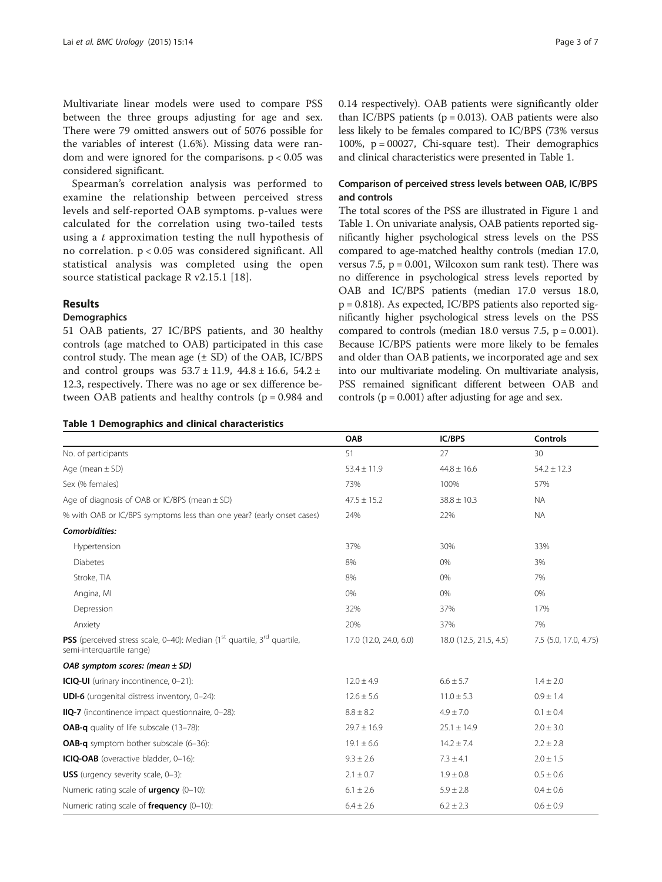Multivariate linear models were used to compare PSS between the three groups adjusting for age and sex. There were 79 omitted answers out of 5076 possible for the variables of interest (1.6%). Missing data were random and were ignored for the comparisons.  $p < 0.05$  was considered significant.

Spearman's correlation analysis was performed to examine the relationship between perceived stress levels and self-reported OAB symptoms. p-values were calculated for the correlation using two-tailed tests using a t approximation testing the null hypothesis of no correlation. p < 0.05 was considered significant. All statistical analysis was completed using the open source statistical package R v2.15.1 [[18](#page-6-0)].

#### Results

# **Demographics**

51 OAB patients, 27 IC/BPS patients, and 30 healthy controls (age matched to OAB) participated in this case control study. The mean age  $(\pm SD)$  of the OAB, IC/BPS and control groups was  $53.7 \pm 11.9$ ,  $44.8 \pm 16.6$ ,  $54.2 \pm 16.6$ 12.3, respectively. There was no age or sex difference between OAB patients and healthy controls (p = 0.984 and

## Table 1 Demographics and clinical characteristics

0.14 respectively). OAB patients were significantly older than IC/BPS patients ( $p = 0.013$ ). OAB patients were also less likely to be females compared to IC/BPS (73% versus 100%,  $p = 00027$ , Chi-square test). Their demographics and clinical characteristics were presented in Table 1.

# Comparison of perceived stress levels between OAB, IC/BPS and controls

The total scores of the PSS are illustrated in Figure [1](#page-3-0) and Table 1. On univariate analysis, OAB patients reported significantly higher psychological stress levels on the PSS compared to age-matched healthy controls (median 17.0, versus 7.5,  $p = 0.001$ , Wilcoxon sum rank test). There was no difference in psychological stress levels reported by OAB and IC/BPS patients (median 17.0 versus 18.0, p = 0.818). As expected, IC/BPS patients also reported significantly higher psychological stress levels on the PSS compared to controls (median 18.0 versus  $7.5$ ,  $p = 0.001$ ). Because IC/BPS patients were more likely to be females and older than OAB patients, we incorporated age and sex into our multivariate modeling. On multivariate analysis, PSS remained significant different between OAB and controls ( $p = 0.001$ ) after adjusting for age and sex.

|                                                                                                                                     | OAB                    | IC/BPS                 | <b>Controls</b>       |
|-------------------------------------------------------------------------------------------------------------------------------------|------------------------|------------------------|-----------------------|
| No. of participants                                                                                                                 | 51                     | 27                     | 30                    |
| Age (mean $\pm$ SD)                                                                                                                 | $53.4 \pm 11.9$        | $44.8 \pm 16.6$        | $54.2 \pm 12.3$       |
| Sex (% females)                                                                                                                     | 73%                    | 100%                   | 57%                   |
| Age of diagnosis of OAB or IC/BPS (mean $\pm$ SD)                                                                                   | $47.5 \pm 15.2$        | $38.8 \pm 10.3$        | <b>NA</b>             |
| % with OAB or IC/BPS symptoms less than one year? (early onset cases)                                                               | 24%                    | 22%                    | <b>NA</b>             |
| Comorbidities:                                                                                                                      |                        |                        |                       |
| Hypertension                                                                                                                        | 37%                    | 30%                    | 33%                   |
| <b>Diabetes</b>                                                                                                                     | 8%                     | 0%                     | 3%                    |
| Stroke, TIA                                                                                                                         | 8%                     | 0%                     | 7%                    |
| Angina, MI                                                                                                                          | 0%                     | 0%                     | 0%                    |
| Depression                                                                                                                          | 32%                    | 37%                    | 17%                   |
| Anxiety                                                                                                                             | 20%                    | 37%                    | 7%                    |
| <b>PSS</b> (perceived stress scale, 0–40): Median (1 <sup>st</sup> quartile, 3 <sup>rd</sup> quartile,<br>semi-interquartile range) | 17.0 (12.0, 24.0, 6.0) | 18.0 (12.5, 21.5, 4.5) | 7.5 (5.0, 17.0, 4.75) |
| OAB symptom scores: (mean $\pm$ SD)                                                                                                 |                        |                        |                       |
| ICIQ-UI (urinary incontinence, 0-21):                                                                                               | $12.0 \pm 4.9$         | $6.6 \pm 5.7$          | $1.4 \pm 2.0$         |
| <b>UDI-6</b> (urogenital distress inventory, 0-24):                                                                                 | $12.6 \pm 5.6$         | $11.0 \pm 5.3$         | $0.9 \pm 1.4$         |
| IIQ-7 (incontinence impact questionnaire, 0-28):                                                                                    | $8.8 \pm 8.2$          | $4.9 \pm 7.0$          | $0.1 \pm 0.4$         |
| <b>OAB-q</b> quality of life subscale (13-78):                                                                                      | $29.7 \pm 16.9$        | $25.1 \pm 14.9$        | $2.0 \pm 3.0$         |
| <b>OAB-q</b> symptom bother subscale (6-36):                                                                                        | $19.1 \pm 6.6$         | $14.2 \pm 7.4$         | $2.2 \pm 2.8$         |
| ICIQ-OAB (overactive bladder, 0-16):                                                                                                | $9.3 \pm 2.6$          | $7.3 \pm 4.1$          | $2.0 \pm 1.5$         |
| <b>USS</b> (urgency severity scale, 0-3):                                                                                           | $2.1 \pm 0.7$          | $1.9 \pm 0.8$          | $0.5 \pm 0.6$         |
| Numeric rating scale of <b>urgency</b> $(0-10)$ :                                                                                   | $6.1 \pm 2.6$          | $5.9 \pm 2.8$          | $0.4 \pm 0.6$         |
| Numeric rating scale of <b>frequency</b> $(0-10)$ :                                                                                 | $6.4 \pm 2.6$          | $6.2 \pm 2.3$          | $0.6 \pm 0.9$         |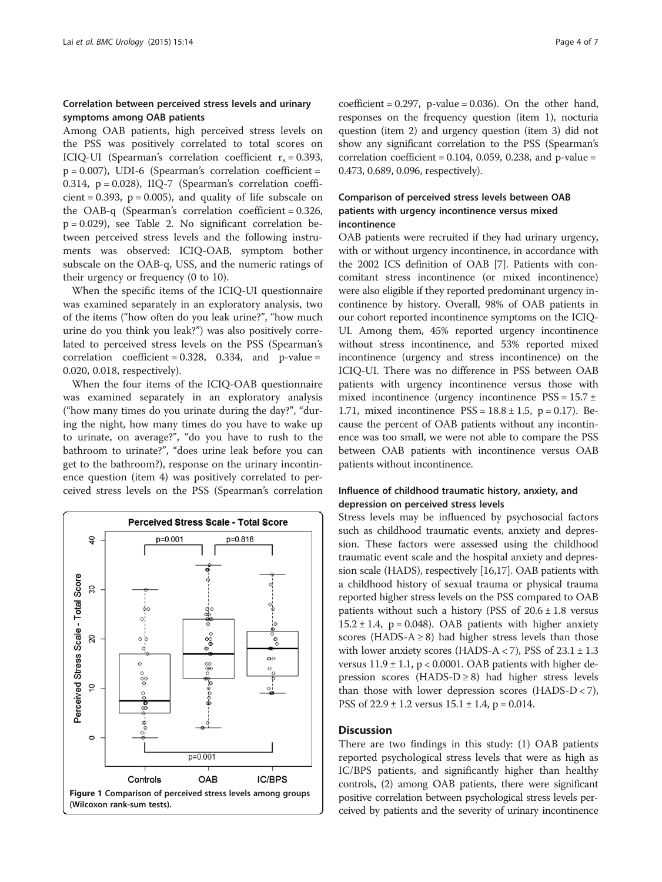# <span id="page-3-0"></span>Correlation between perceived stress levels and urinary symptoms among OAB patients

Among OAB patients, high perceived stress levels on the PSS was positively correlated to total scores on ICIQ-UI (Spearman's correlation coefficient  $r_s = 0.393$ ,  $p = 0.007$ ), UDI-6 (Spearman's correlation coefficient = 0.314,  $p = 0.028$ ), IIQ-7 (Spearman's correlation coefficient =  $0.393$ ,  $p = 0.005$ ), and quality of life subscale on the OAB-q (Spearman's correlation coefficient = 0.326, p = 0.029), see Table [2](#page-4-0). No significant correlation between perceived stress levels and the following instruments was observed: ICIQ-OAB, symptom bother subscale on the OAB-q, USS, and the numeric ratings of their urgency or frequency (0 to 10).

When the specific items of the ICIQ-UI questionnaire was examined separately in an exploratory analysis, two of the items ("how often do you leak urine?", "how much urine do you think you leak?") was also positively correlated to perceived stress levels on the PSS (Spearman's correlation coefficient =  $0.328$ ,  $0.334$ , and p-value = 0.020, 0.018, respectively).

When the four items of the ICIQ-OAB questionnaire was examined separately in an exploratory analysis ("how many times do you urinate during the day?", "during the night, how many times do you have to wake up to urinate, on average?", "do you have to rush to the bathroom to urinate?", "does urine leak before you can get to the bathroom?), response on the urinary incontinence question (item 4) was positively correlated to perceived stress levels on the PSS (Spearman's correlation



 $coefficient = 0.297$ ,  $p-value = 0.036$ . On the other hand, responses on the frequency question (item 1), nocturia question (item 2) and urgency question (item 3) did not show any significant correlation to the PSS (Spearman's correlation coefficient =  $0.104$ ,  $0.059$ ,  $0.238$ , and p-value = 0.473, 0.689, 0.096, respectively).

# Comparison of perceived stress levels between OAB patients with urgency incontinence versus mixed incontinence

OAB patients were recruited if they had urinary urgency, with or without urgency incontinence, in accordance with the 2002 ICS definition of OAB [[7](#page-5-0)]. Patients with concomitant stress incontinence (or mixed incontinence) were also eligible if they reported predominant urgency incontinence by history. Overall, 98% of OAB patients in our cohort reported incontinence symptoms on the ICIQ-UI. Among them, 45% reported urgency incontinence without stress incontinence, and 53% reported mixed incontinence (urgency and stress incontinence) on the ICIQ-UI. There was no difference in PSS between OAB patients with urgency incontinence versus those with mixed incontinence (urgency incontinence  $PSS = 15.7 \pm$ 1.71, mixed incontinence  $PSS = 18.8 \pm 1.5$ , p = 0.17). Because the percent of OAB patients without any incontinence was too small, we were not able to compare the PSS between OAB patients with incontinence versus OAB patients without incontinence.

# Influence of childhood traumatic history, anxiety, and depression on perceived stress levels

Stress levels may be influenced by psychosocial factors such as childhood traumatic events, anxiety and depression. These factors were assessed using the childhood traumatic event scale and the hospital anxiety and depression scale (HADS), respectively [\[16,17](#page-6-0)]. OAB patients with a childhood history of sexual trauma or physical trauma reported higher stress levels on the PSS compared to OAB patients without such a history (PSS of  $20.6 \pm 1.8$  versus  $15.2 \pm 1.4$ , p = 0.048). OAB patients with higher anxiety scores (HADS-A  $\geq$  8) had higher stress levels than those with lower anxiety scores (HADS-A  $<$  7), PSS of 23.1  $\pm$  1.3 versus  $11.9 \pm 1.1$ , p < 0.0001. OAB patients with higher depression scores (HADS-D  $\geq$  8) had higher stress levels than those with lower depression scores (HADS-D < 7), PSS of  $22.9 \pm 1.2$  versus  $15.1 \pm 1.4$ , p = 0.014.

# **Discussion**

There are two findings in this study: (1) OAB patients reported psychological stress levels that were as high as IC/BPS patients, and significantly higher than healthy controls, (2) among OAB patients, there were significant positive correlation between psychological stress levels perceived by patients and the severity of urinary incontinence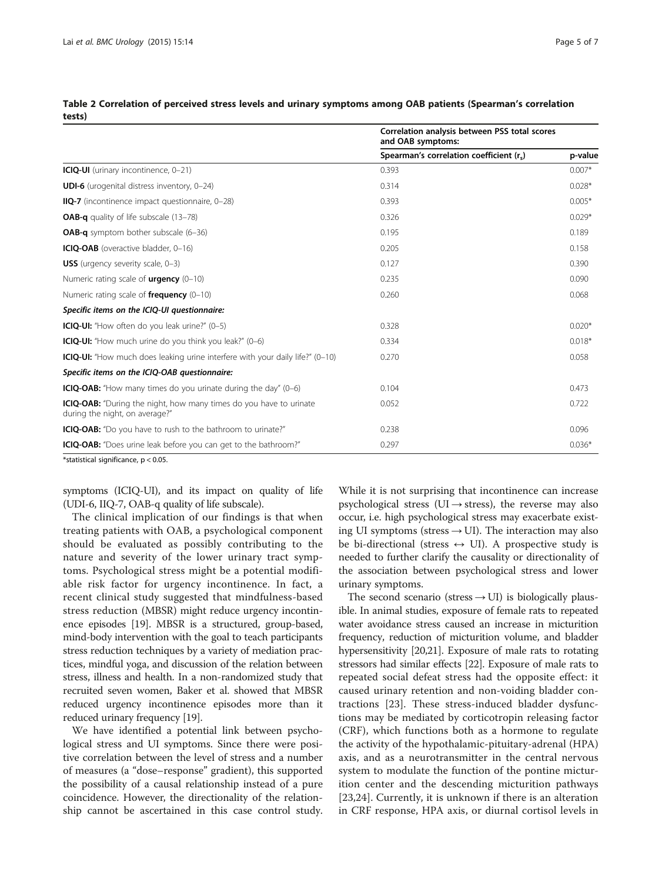|                                                                                                             | Correlation analysis between PSS total scores<br>and OAB symptoms: |          |  |
|-------------------------------------------------------------------------------------------------------------|--------------------------------------------------------------------|----------|--|
|                                                                                                             | Spearman's correlation coefficient (r.)                            | p-value  |  |
| ICIQ-UI (urinary incontinence, 0-21)                                                                        | 0.393                                                              | $0.007*$ |  |
| <b>UDI-6</b> (urogenital distress inventory, 0-24)                                                          | 0.314                                                              | $0.028*$ |  |
| <b>IIQ-7</b> (incontinence impact questionnaire, 0-28)                                                      | 0.393                                                              | $0.005*$ |  |
| <b>OAB-q</b> quality of life subscale (13-78)                                                               | 0.326                                                              | $0.029*$ |  |
| <b>OAB-g</b> symptom bother subscale (6-36)                                                                 | 0.195                                                              | 0.189    |  |
| ICIQ-OAB (overactive bladder, 0-16)                                                                         | 0.205                                                              | 0.158    |  |
| <b>USS</b> (urgency severity scale, 0-3)                                                                    | 0.127                                                              | 0.390    |  |
| Numeric rating scale of $urqency(0-10)$                                                                     | 0.235                                                              | 0.090    |  |
| Numeric rating scale of <b>frequency</b> $(0-10)$                                                           | 0.260                                                              | 0.068    |  |
| Specific items on the ICIQ-UI questionnaire:                                                                |                                                                    |          |  |
| <b>ICIQ-UI:</b> "How often do you leak urine?" (0-5)                                                        | 0.328                                                              | $0.020*$ |  |
| <b>ICIQ-UI:</b> "How much urine do you think you leak?" (0-6)                                               | 0.334                                                              | $0.018*$ |  |
| ICIQ-UI: "How much does leaking urine interfere with your daily life?" (0-10)                               | 0.270                                                              | 0.058    |  |
| Specific items on the ICIQ-OAB questionnaire:                                                               |                                                                    |          |  |
| <b>ICIQ-OAB:</b> "How many times do you urinate during the day" (0-6)                                       | 0.104                                                              | 0.473    |  |
| <b>ICIQ-OAB:</b> "During the night, how many times do you have to urinate<br>during the night, on average?" | 0.052                                                              | 0.722    |  |
| <b>ICIQ-OAB:</b> "Do you have to rush to the bathroom to urinate?"                                          | 0.238                                                              | 0.096    |  |
| <b>ICIQ-OAB:</b> "Does urine leak before you can get to the bathroom?"                                      | 0.297                                                              | $0.036*$ |  |

<span id="page-4-0"></span>Table 2 Correlation of perceived stress levels and urinary symptoms among OAB patients (Spearman's correlation tests)

\*statistical significance, p < 0.05.

symptoms (ICIQ-UI), and its impact on quality of life (UDI-6, IIQ-7, OAB-q quality of life subscale).

The clinical implication of our findings is that when treating patients with OAB, a psychological component should be evaluated as possibly contributing to the nature and severity of the lower urinary tract symptoms. Psychological stress might be a potential modifiable risk factor for urgency incontinence. In fact, a recent clinical study suggested that mindfulness-based stress reduction (MBSR) might reduce urgency incontinence episodes [\[19\]](#page-6-0). MBSR is a structured, group-based, mind-body intervention with the goal to teach participants stress reduction techniques by a variety of mediation practices, mindful yoga, and discussion of the relation between stress, illness and health. In a non-randomized study that recruited seven women, Baker et al. showed that MBSR reduced urgency incontinence episodes more than it reduced urinary frequency [[19](#page-6-0)].

We have identified a potential link between psychological stress and UI symptoms. Since there were positive correlation between the level of stress and a number of measures (a "dose–response" gradient), this supported the possibility of a causal relationship instead of a pure coincidence. However, the directionality of the relationship cannot be ascertained in this case control study.

While it is not surprising that incontinence can increase psychological stress (UI  $\rightarrow$  stress), the reverse may also occur, i.e. high psychological stress may exacerbate existing UI symptoms (stress  $\rightarrow$  UI). The interaction may also be bi-directional (stress  $\leftrightarrow$  UI). A prospective study is needed to further clarify the causality or directionality of the association between psychological stress and lower urinary symptoms.

The second scenario (stress  $\rightarrow$  UI) is biologically plausible. In animal studies, exposure of female rats to repeated water avoidance stress caused an increase in micturition frequency, reduction of micturition volume, and bladder hypersensitivity [\[20,21](#page-6-0)]. Exposure of male rats to rotating stressors had similar effects [[22](#page-6-0)]. Exposure of male rats to repeated social defeat stress had the opposite effect: it caused urinary retention and non-voiding bladder contractions [[23\]](#page-6-0). These stress-induced bladder dysfunctions may be mediated by corticotropin releasing factor (CRF), which functions both as a hormone to regulate the activity of the hypothalamic-pituitary-adrenal (HPA) axis, and as a neurotransmitter in the central nervous system to modulate the function of the pontine micturition center and the descending micturition pathways [[23,24](#page-6-0)]. Currently, it is unknown if there is an alteration in CRF response, HPA axis, or diurnal cortisol levels in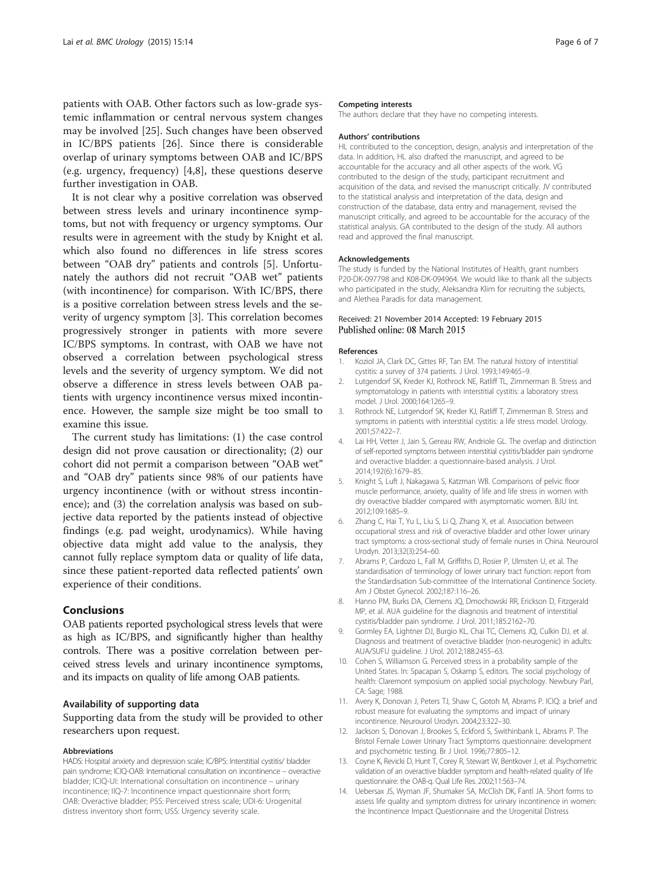<span id="page-5-0"></span>patients with OAB. Other factors such as low-grade systemic inflammation or central nervous system changes may be involved [[25\]](#page-6-0). Such changes have been observed in IC/BPS patients [\[26](#page-6-0)]. Since there is considerable overlap of urinary symptoms between OAB and IC/BPS (e.g. urgency, frequency) [4,8], these questions deserve further investigation in OAB.

It is not clear why a positive correlation was observed between stress levels and urinary incontinence symptoms, but not with frequency or urgency symptoms. Our results were in agreement with the study by Knight et al. which also found no differences in life stress scores between "OAB dry" patients and controls [5]. Unfortunately the authors did not recruit "OAB wet" patients (with incontinence) for comparison. With IC/BPS, there is a positive correlation between stress levels and the severity of urgency symptom [3]. This correlation becomes progressively stronger in patients with more severe IC/BPS symptoms. In contrast, with OAB we have not observed a correlation between psychological stress levels and the severity of urgency symptom. We did not observe a difference in stress levels between OAB patients with urgency incontinence versus mixed incontinence. However, the sample size might be too small to examine this issue.

The current study has limitations: (1) the case control design did not prove causation or directionality; (2) our cohort did not permit a comparison between "OAB wet" and "OAB dry" patients since 98% of our patients have urgency incontinence (with or without stress incontinence); and (3) the correlation analysis was based on subjective data reported by the patients instead of objective findings (e.g. pad weight, urodynamics). While having objective data might add value to the analysis, they cannot fully replace symptom data or quality of life data, since these patient-reported data reflected patients' own experience of their conditions.

#### Conclusions

OAB patients reported psychological stress levels that were as high as IC/BPS, and significantly higher than healthy controls. There was a positive correlation between perceived stress levels and urinary incontinence symptoms, and its impacts on quality of life among OAB patients.

#### Availability of supporting data

Supporting data from the study will be provided to other researchers upon request.

#### Abbreviations

HADS: Hospital anxiety and depression scale; IC/BPS: Interstitial cystitis/ bladder pain syndrome; ICIQ-OAB: International consultation on incontinence – overactive bladder; ICIQ-UI: International consultation on incontinence – urinary incontinence; IIQ-7: Incontinence impact questionnaire short form; OAB: Overactive bladder; PSS: Perceived stress scale; UDI-6: Urogenital distress inventory short form; USS: Urgency severity scale.

#### Competing interests

The authors declare that they have no competing interests.

#### Authors' contributions

HL contributed to the conception, design, analysis and interpretation of the data. In addition, HL also drafted the manuscript, and agreed to be accountable for the accuracy and all other aspects of the work. VG contributed to the design of the study, participant recruitment and acquisition of the data, and revised the manuscript critically. JV contributed to the statistical analysis and interpretation of the data, design and construction of the database, data entry and management, revised the manuscript critically, and agreed to be accountable for the accuracy of the statistical analysis. GA contributed to the design of the study. All authors read and approved the final manuscript.

#### Acknowledgements

The study is funded by the National Institutes of Health, grant numbers P20-DK-097798 and K08-DK-094964. We would like to thank all the subjects who participated in the study, Aleksandra Klim for recruiting the subjects, and Alethea Paradis for data management.

# Received: 21 November 2014 Accepted: 19 February 2015<br>Published online: 08 March 2015

#### References

- 1. Koziol JA, Clark DC, Gittes RF, Tan EM. The natural history of interstitial cystitis: a survey of 374 patients. J Urol. 1993;149:465–9.
- 2. Lutgendorf SK, Kreder KJ, Rothrock NE, Ratliff TL, Zimmerman B. Stress and symptomatology in patients with interstitial cystitis: a laboratory stress model. J Urol. 2000;164:1265–9.
- 3. Rothrock NE, Lutgendorf SK, Kreder KJ, Ratliff T, Zimmerman B. Stress and symptoms in patients with interstitial cystitis: a life stress model. Urology. 2001;57:422–7.
- 4. Lai HH, Vetter J, Jain S, Gereau RW, Andriole GL. The overlap and distinction of self-reported symptoms between interstitial cystitis/bladder pain syndrome and overactive bladder: a questionnaire-based analysis. J Urol. 2014;192(6):1679–85.
- 5. Knight S, Luft J, Nakagawa S, Katzman WB. Comparisons of pelvic floor muscle performance, anxiety, quality of life and life stress in women with dry overactive bladder compared with asymptomatic women. BJU Int. 2012;109:1685–9.
- 6. Zhang C, Hai T, Yu L, Liu S, Li Q, Zhang X, et al. Association between occupational stress and risk of overactive bladder and other lower urinary tract symptoms: a cross-sectional study of female nurses in China. Neurourol Urodyn. 2013;32(3):254–60.
- 7. Abrams P, Cardozo L, Fall M, Griffiths D, Rosier P, Ulmsten U, et al. The standardisation of terminology of lower urinary tract function: report from the Standardisation Sub-committee of the International Continence Society. Am J Obstet Gynecol. 2002;187:116–26.
- 8. Hanno PM, Burks DA, Clemens JQ, Dmochowski RR, Erickson D, Fitzgerald MP, et al. AUA guideline for the diagnosis and treatment of interstitial cystitis/bladder pain syndrome. J Urol. 2011;185:2162–70.
- 9. Gormley EA, Lightner DJ, Burgio KL, Chai TC, Clemens JQ, Culkin DJ, et al. Diagnosis and treatment of overactive bladder (non-neurogenic) in adults: AUA/SUFU guideline. J Urol. 2012;188:2455–63.
- 10. Cohen S, Williamson G. Perceived stress in a probability sample of the United States. In: Spacapan S, Oskamp S, editors. The social psychology of health: Claremont symposium on applied social psychology. Newbury Parl, CA: Sage; 1988.
- 11. Avery K, Donovan J, Peters TJ, Shaw C, Gotoh M, Abrams P. ICIQ: a brief and robust measure for evaluating the symptoms and impact of urinary incontinence. Neurourol Urodyn. 2004;23:322–30.
- 12. Jackson S, Donovan J, Brookes S, Eckford S, Swithinbank L, Abrams P. The Bristol Female Lower Urinary Tract Symptoms questionnaire: development and psychometric testing. Br J Urol. 1996;77:805–12.
- 13. Coyne K, Revicki D, Hunt T, Corey R, Stewart W, Bentkover J, et al. Psychometric validation of an overactive bladder symptom and health-related quality of life questionnaire: the OAB-q. Qual Life Res. 2002;11:563–74.
- 14. Uebersax JS, Wyman JF, Shumaker SA, McClish DK, Fantl JA. Short forms to assess life quality and symptom distress for urinary incontinence in women: the Incontinence Impact Questionnaire and the Urogenital Distress